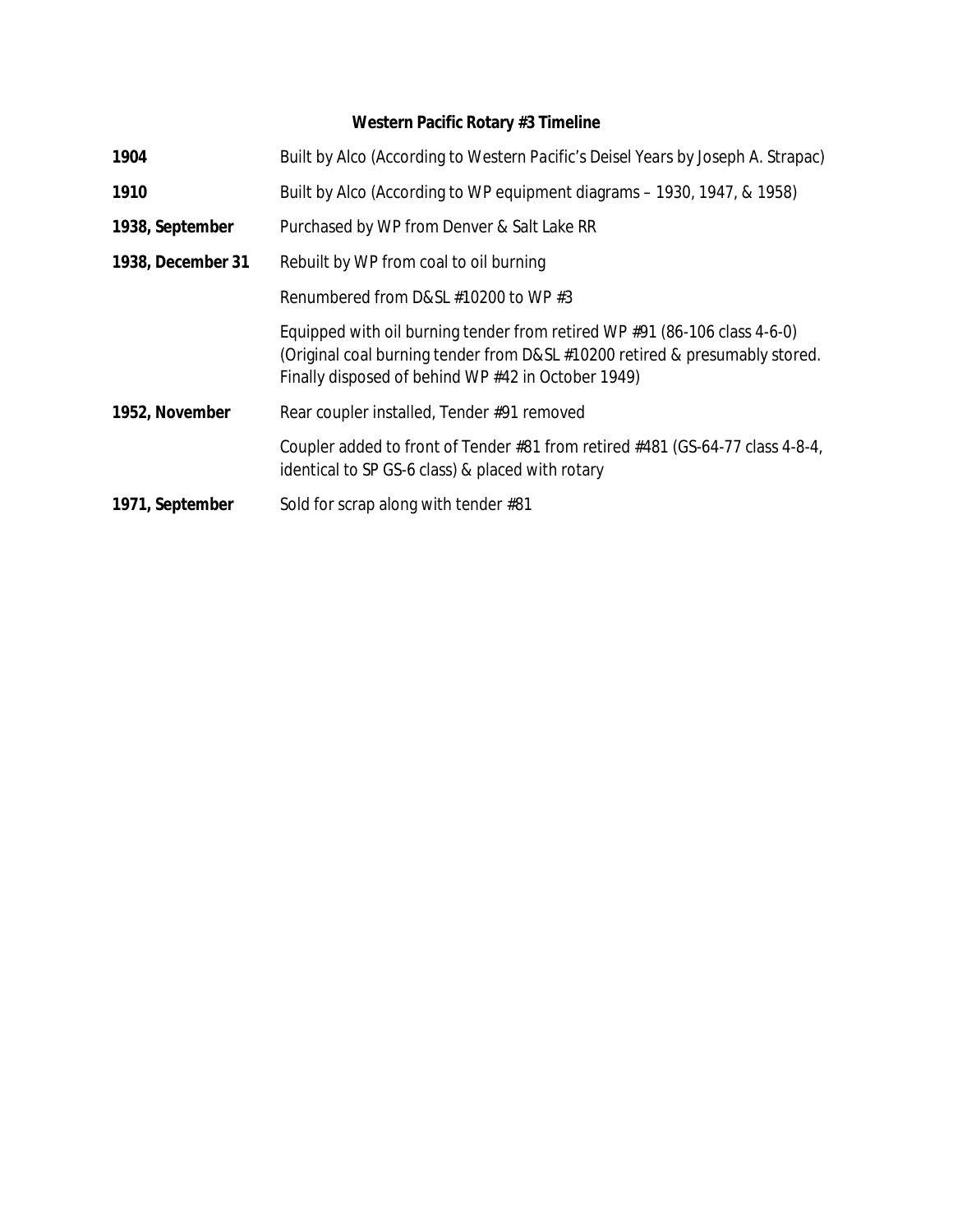## **Western Pacific Rotary #3 Timeline**

| 1904              | Built by Alco (According to Western Pacific's Deisel Years by Joseph A. Strapac)                                                                                                                               |
|-------------------|----------------------------------------------------------------------------------------------------------------------------------------------------------------------------------------------------------------|
| 1910              | Built by Alco (According to WP equipment diagrams – 1930, 1947, & 1958)                                                                                                                                        |
| 1938, September   | Purchased by WP from Denver & Salt Lake RR                                                                                                                                                                     |
| 1938, December 31 | Rebuilt by WP from coal to oil burning                                                                                                                                                                         |
|                   | Renumbered from D&SL #10200 to WP #3                                                                                                                                                                           |
|                   | Equipped with oil burning tender from retired WP #91 (86-106 class 4-6-0)<br>(Original coal burning tender from D&SL #10200 retired & presumably stored.<br>Finally disposed of behind WP #42 in October 1949) |
| 1952, November    | Rear coupler installed, Tender #91 removed                                                                                                                                                                     |
|                   | Coupler added to front of Tender #81 from retired #481 (GS-64-77 class 4-8-4,<br>identical to SP GS-6 class) & placed with rotary                                                                              |
| 1971, September   | Sold for scrap along with tender #81                                                                                                                                                                           |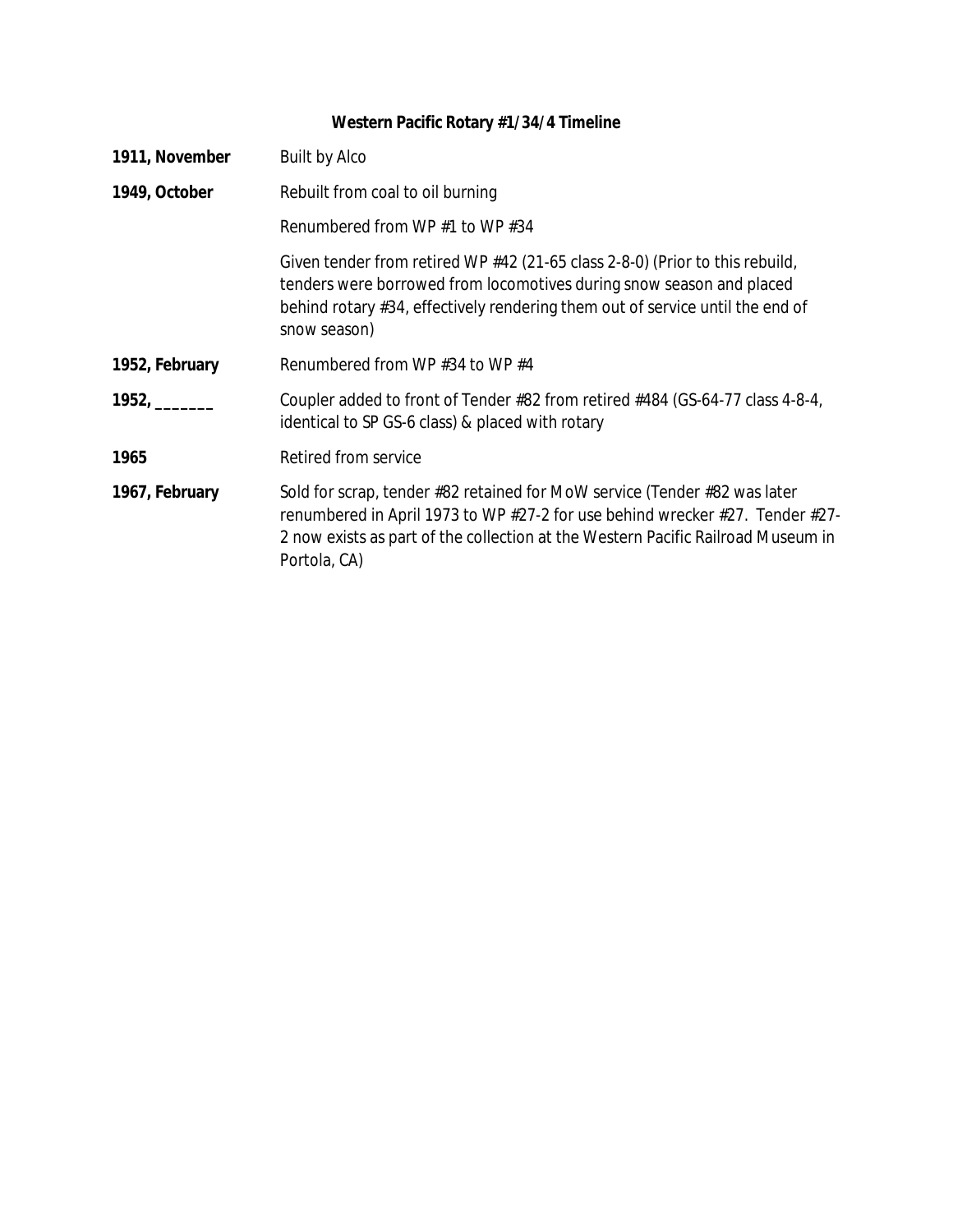## **Western Pacific Rotary #1/34/4 Timeline**

| 1911, November | <b>Built by Alco</b>                                                                                                                                                                                                                                          |
|----------------|---------------------------------------------------------------------------------------------------------------------------------------------------------------------------------------------------------------------------------------------------------------|
| 1949, October  | Rebuilt from coal to oil burning                                                                                                                                                                                                                              |
|                | Renumbered from WP $#1$ to WP $#34$                                                                                                                                                                                                                           |
|                | Given tender from retired WP #42 (21-65 class 2-8-0) (Prior to this rebuild,<br>tenders were borrowed from locomotives during snow season and placed<br>behind rotary #34, effectively rendering them out of service until the end of<br>snow season)         |
| 1952, February | Renumbered from WP $#34$ to WP $#4$                                                                                                                                                                                                                           |
|                | Coupler added to front of Tender #82 from retired #484 (GS-64-77 class 4-8-4,<br>identical to SP GS-6 class) & placed with rotary                                                                                                                             |
| 1965           | Retired from service                                                                                                                                                                                                                                          |
| 1967, February | Sold for scrap, tender #82 retained for MoW service (Tender #82 was later<br>renumbered in April 1973 to WP #27-2 for use behind wrecker #27. Tender #27-<br>2 now exists as part of the collection at the Western Pacific Railroad Museum in<br>Portola, CA) |